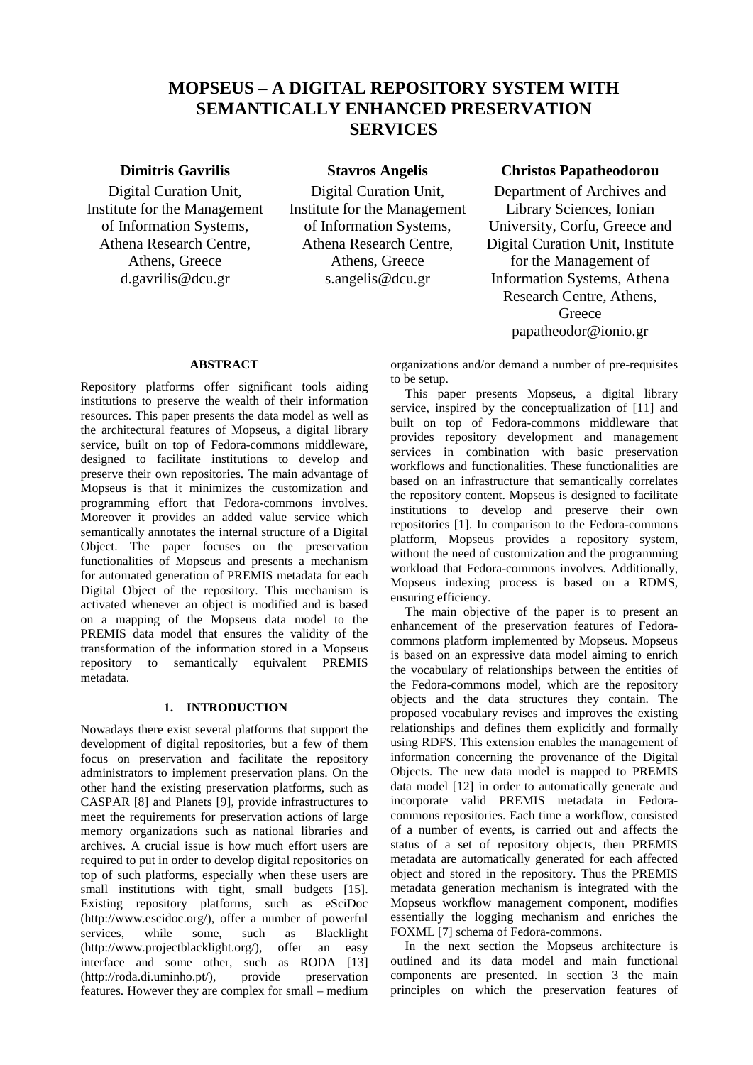# **MOPSEUS – A DIGITAL REPOSITORY SYSTEM WITH SEMANTICALLY ENHANCED PRESERVATION SERVICES**

Digital Curation Unit, Institute for the Management of Information Systems, Athena Research Centre, Athens, Greece d.gavrilis@dcu.gr

Digital Curation Unit, Institute for the Management of Information Systems, Athena Research Centre, Athens, Greece s.angelis@dcu.gr

## **Dimitris Gavrilis Stavros Angelis Christos Papatheodorou**

Department of Archives and Library Sciences, Ionian University, Corfu, Greece and Digital Curation Unit, Institute for the Management of Information Systems, Athena Research Centre, Athens, **Greece** papatheodor@ionio.gr

### **ABSTRACT**

Repository platforms offer significant tools aiding institutions to preserve the wealth of their information resources. This paper presents the data model as well as the architectural features of Mopseus, a digital library service, built on top of Fedora-commons middleware, designed to facilitate institutions to develop and preserve their own repositories. The main advantage of Mopseus is that it minimizes the customization and programming effort that Fedora-commons involves. Moreover it provides an added value service which semantically annotates the internal structure of a Digital Object. The paper focuses on the preservation functionalities of Mopseus and presents a mechanism for automated generation of PREMIS metadata for each Digital Object of the repository. This mechanism is activated whenever an object is modified and is based on a mapping of the Mopseus data model to the PREMIS data model that ensures the validity of the transformation of the information stored in a Mopseus repository to semantically equivalent PREMIS metadata.

## **1. INTRODUCTION**

Nowadays there exist several platforms that support the development of digital repositories, but a few of them focus on preservation and facilitate the repository administrators to implement preservation plans. On the other hand the existing preservation platforms, such as CASPAR [8] and Planets [9], provide infrastructures to meet the requirements for preservation actions of large memory organizations such as national libraries and archives. A crucial issue is how much effort users are required to put in order to develop digital repositories on top of such platforms, especially when these users are small institutions with tight, small budgets [15]. Existing repository platforms, such as eSciDoc (http://www.escidoc.org/), offer a number of powerful services, while some, such as Blacklight (http://www.projectblacklight.org/), offer an easy interface and some other, such as RODA [13] (http://roda.di.uminho.pt/), provide preservation features. However they are complex for small – medium

organizations and/or demand a number of pre-requisites to be setup.

This paper presents Mopseus, a digital library service, inspired by the conceptualization of [11] and built on top of Fedora-commons middleware that provides repository development and management services in combination with basic preservation workflows and functionalities. These functionalities are based on an infrastructure that semantically correlates the repository content. Mopseus is designed to facilitate institutions to develop and preserve their own repositories [1]. In comparison to the Fedora-commons platform, Mopseus provides a repository system, without the need of customization and the programming workload that Fedora-commons involves. Additionally, Mopseus indexing process is based on a RDMS, ensuring efficiency.

The main objective of the paper is to present an enhancement of the preservation features of Fedoracommons platform implemented by Mopseus. Mopseus is based on an expressive data model aiming to enrich the vocabulary of relationships between the entities of the Fedora-commons model, which are the repository objects and the data structures they contain. The proposed vocabulary revises and improves the existing relationships and defines them explicitly and formally using RDFS. This extension enables the management of information concerning the provenance of the Digital Objects. The new data model is mapped to PREMIS data model [12] in order to automatically generate and incorporate valid PREMIS metadata in Fedoracommons repositories. Each time a workflow, consisted of a number of events, is carried out and affects the status of a set of repository objects, then PREMIS metadata are automatically generated for each affected object and stored in the repository. Thus the PREMIS metadata generation mechanism is integrated with the Mopseus workflow management component, modifies essentially the logging mechanism and enriches the FOXML [7] schema of Fedora-commons.

In the next section the Mopseus architecture is outlined and its data model and main functional components are presented. In section 3 the main principles on which the preservation features of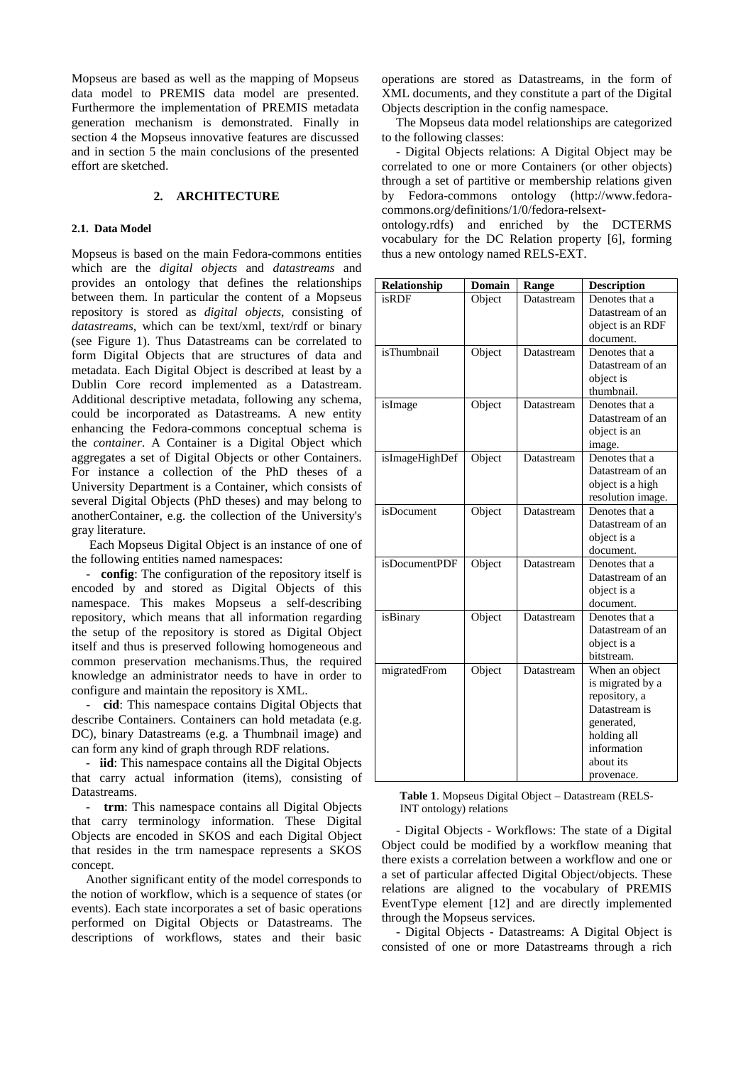Mopseus are based as well as the mapping of Mopseus data model to PREMIS data model are presented. Furthermore the implementation of PREMIS metadata generation mechanism is demonstrated. Finally in section 4 the Mopseus innovative features are discussed and in section 5 the main conclusions of the presented effort are sketched.

## **2. ARCHITECTURE**

#### **2.1. Data Model**

Mopseus is based on the main Fedora-commons entities which are the *digital objects* and *datastreams* and provides an ontology that defines the relationships between them. In particular the content of a Mopseus repository is stored as *digital objects*, consisting of *datastreams*, which can be text/xml, text/rdf or binary (see Figure 1). Thus Datastreams can be correlated to form Digital Objects that are structures of data and metadata. Each Digital Object is described at least by a Dublin Core record implemented as a Datastream. Additional descriptive metadata, following any schema, could be incorporated as Datastreams. A new entity enhancing the Fedora-commons conceptual schema is the *container*. A Container is a Digital Object which aggregates a set of Digital Objects or other Containers. For instance a collection of the PhD theses of a University Department is a Container, which consists of several Digital Objects (PhD theses) and may belong to anotherContainer, e.g. the collection of the University's gray literature.

Each Mopseus Digital Object is an instance of one of the following entities named namespaces:

- **config**: The configuration of the repository itself is encoded by and stored as Digital Objects of this namespace. This makes Mopseus a self-describing repository, which means that all information regarding the setup of the repository is stored as Digital Object itself and thus is preserved following homogeneous and common preservation mechanisms.Thus, the required knowledge an administrator needs to have in order to configure and maintain the repository is XML.

- **cid**: This namespace contains Digital Objects that describe Containers. Containers can hold metadata (e.g. DC), binary Datastreams (e.g. a Thumbnail image) and can form any kind of graph through RDF relations.

- **iid**: This namespace contains all the Digital Objects that carry actual information (items), consisting of Datastreams.

- **trm**: This namespace contains all Digital Objects that carry terminology information. These Digital Objects are encoded in SKOS and each Digital Object that resides in the trm namespace represents a SKOS concept.

Another significant entity of the model corresponds to the notion of workflow, which is a sequence of states (or events). Each state incorporates a set of basic operations performed on Digital Objects or Datastreams. The descriptions of workflows, states and their basic

operations are stored as Datastreams, in the form of XML documents, and they constitute a part of the Digital Objects description in the config namespace.

The Mopseus data model relationships are categorized to the following classes:

- Digital Objects relations: A Digital Object may be correlated to one or more Containers (or other objects) through a set of partitive or membership relations given by Fedora-commons ontology (http://www.fedoracommons.org/definitions/1/0/fedora-relsext-

ontology.rdfs) and enriched by the DCTERMS vocabulary for the DC Relation property [6], forming thus a new ontology named RELS-EXT.

| Relationship              | Domain | Range      | <b>Description</b> |
|---------------------------|--------|------------|--------------------|
| $\overline{\text{isRDF}}$ | Object | Datastream | Denotes that a     |
|                           |        |            | Datastream of an   |
|                           |        |            | object is an RDF   |
|                           |        |            | document.          |
| isThumbnail               | Object | Datastream | Denotes that a     |
|                           |        |            | Datastream of an   |
|                           |        |            | object is          |
|                           |        |            | thumbnail.         |
| isImage                   | Object | Datastream | Denotes that a     |
|                           |        |            | Datastream of an   |
|                           |        |            | object is an       |
|                           |        |            | image.             |
| isImageHighDef            | Object | Datastream | Denotes that a     |
|                           |        |            | Datastream of an   |
|                           |        |            | object is a high   |
|                           |        |            | resolution image.  |
| isDocument                | Object | Datastream | Denotes that a     |
|                           |        |            | Datastream of an   |
|                           |        |            | object is a        |
|                           |        |            | document.          |
| isDocumentPDF             | Object | Datastream | Denotes that a     |
|                           |        |            | Datastream of an   |
|                           |        |            | object is a        |
|                           |        |            | document.          |
| isBinary                  | Object | Datastream | Denotes that a     |
|                           |        |            | Datastream of an   |
|                           |        |            | object is a        |
|                           |        |            | bitstream.         |
| migratedFrom              | Object | Datastream | When an object     |
|                           |        |            | is migrated by a   |
|                           |        |            | repository, a      |
|                           |        |            | Datastream is      |
|                           |        |            | generated,         |
|                           |        |            | holding all        |
|                           |        |            | information        |
|                           |        |            | about its          |
|                           |        |            | provenace.         |

**Table 1**. Mopseus Digital Object – Datastream (RELS-INT ontology) relations

- Digital Objects - Workflows: The state of a Digital Object could be modified by a workflow meaning that there exists a correlation between a workflow and one or a set of particular affected Digital Object/objects. These relations are aligned to the vocabulary of PREMIS EventType element [12] and are directly implemented through the Mopseus services.

- Digital Objects - Datastreams: A Digital Object is consisted of one or more Datastreams through a rich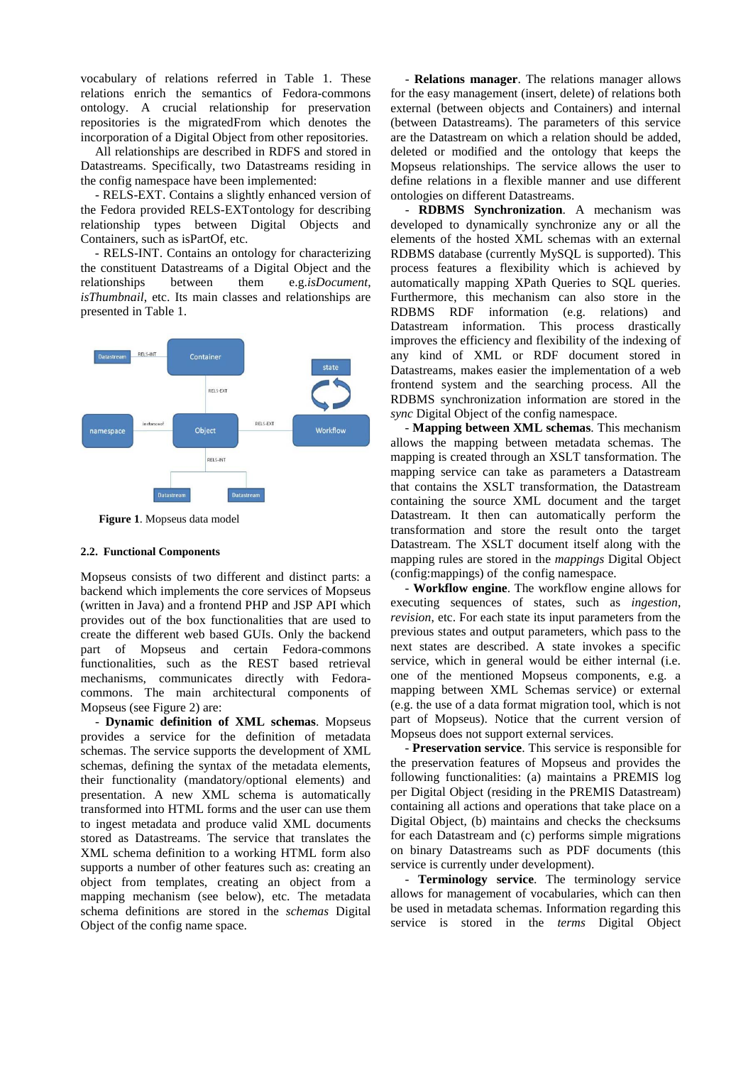vocabulary of relations referred in Table 1. These relations enrich the semantics of Fedora-commons ontology. A crucial relationship for preservation repositories is the migratedFrom which denotes the incorporation of a Digital Object from other repositories.

All relationships are described in RDFS and stored in Datastreams. Specifically, two Datastreams residing in the config namespace have been implemented:

- RELS-EXT. Contains a slightly enhanced version of the Fedora provided RELS-EXTontology for describing relationship types between Digital Objects and Containers, such as isPartOf, etc.

- RELS-INT. Contains an ontology for characterizing the constituent Datastreams of a Digital Object and the relationships between them e.g.*isDocument*, *isThumbnail*, etc. Its main classes and relationships are presented in Table 1.



**Figure 1**. Mopseus data model

## **2.2. Functional Components**

Mopseus consists of two different and distinct parts: a backend which implements the core services of Mopseus (written in Java) and a frontend PHP and JSP API which provides out of the box functionalities that are used to create the different web based GUIs. Only the backend part of Mopseus and certain Fedora-commons functionalities, such as the REST based retrieval mechanisms, communicates directly with Fedoracommons. The main architectural components of Mopseus (see Figure 2) are:

- **Dynamic definition of XML schemas**. Mopseus provides a service for the definition of metadata schemas. The service supports the development of XML schemas, defining the syntax of the metadata elements, their functionality (mandatory/optional elements) and presentation. A new XML schema is automatically transformed into HTML forms and the user can use them to ingest metadata and produce valid XML documents stored as Datastreams. The service that translates the XML schema definition to a working HTML form also supports a number of other features such as: creating an object from templates, creating an object from a mapping mechanism (see below), etc. The metadata schema definitions are stored in the *schemas* Digital Object of the config name space.

- **Relations manager**. The relations manager allows for the easy management (insert, delete) of relations both external (between objects and Containers) and internal (between Datastreams). The parameters of this service are the Datastream on which a relation should be added, deleted or modified and the ontology that keeps the Mopseus relationships. The service allows the user to define relations in a flexible manner and use different ontologies on different Datastreams.

- **RDBMS Synchronization**. A mechanism was developed to dynamically synchronize any or all the elements of the hosted XML schemas with an external RDBMS database (currently MySQL is supported). This process features a flexibility which is achieved by automatically mapping XPath Queries to SQL queries. Furthermore, this mechanism can also store in the RDBMS RDF information (e.g. relations) and Datastream information. This process drastically improves the efficiency and flexibility of the indexing of any kind of XML or RDF document stored in Datastreams, makes easier the implementation of a web frontend system and the searching process. All the RDBMS synchronization information are stored in the *sync* Digital Object of the config namespace.

- **Mapping between XML schemas**. This mechanism allows the mapping between metadata schemas. The mapping is created through an XSLT tansformation. The mapping service can take as parameters a Datastream that contains the XSLT transformation, the Datastream containing the source XML document and the target Datastream. It then can automatically perform the transformation and store the result onto the target Datastream. The XSLT document itself along with the mapping rules are stored in the *mappings* Digital Object (config:mappings) of the config namespace.

- **Workflow engine**. The workflow engine allows for executing sequences of states, such as *ingestion*, *revision*, etc. For each state its input parameters from the previous states and output parameters, which pass to the next states are described. A state invokes a specific service, which in general would be either internal (i.e. one of the mentioned Mopseus components, e.g. a mapping between XML Schemas service) or external (e.g. the use of a data format migration tool, which is not part of Mopseus). Notice that the current version of Mopseus does not support external services.

- **Preservation service**. This service is responsible for the preservation features of Mopseus and provides the following functionalities: (a) maintains a PREMIS log per Digital Object (residing in the PREMIS Datastream) containing all actions and operations that take place on a Digital Object, (b) maintains and checks the checksums for each Datastream and (c) performs simple migrations on binary Datastreams such as PDF documents (this service is currently under development).

- **Terminology service**. The terminology service allows for management of vocabularies, which can then be used in metadata schemas. Information regarding this service is stored in the *terms* Digital Object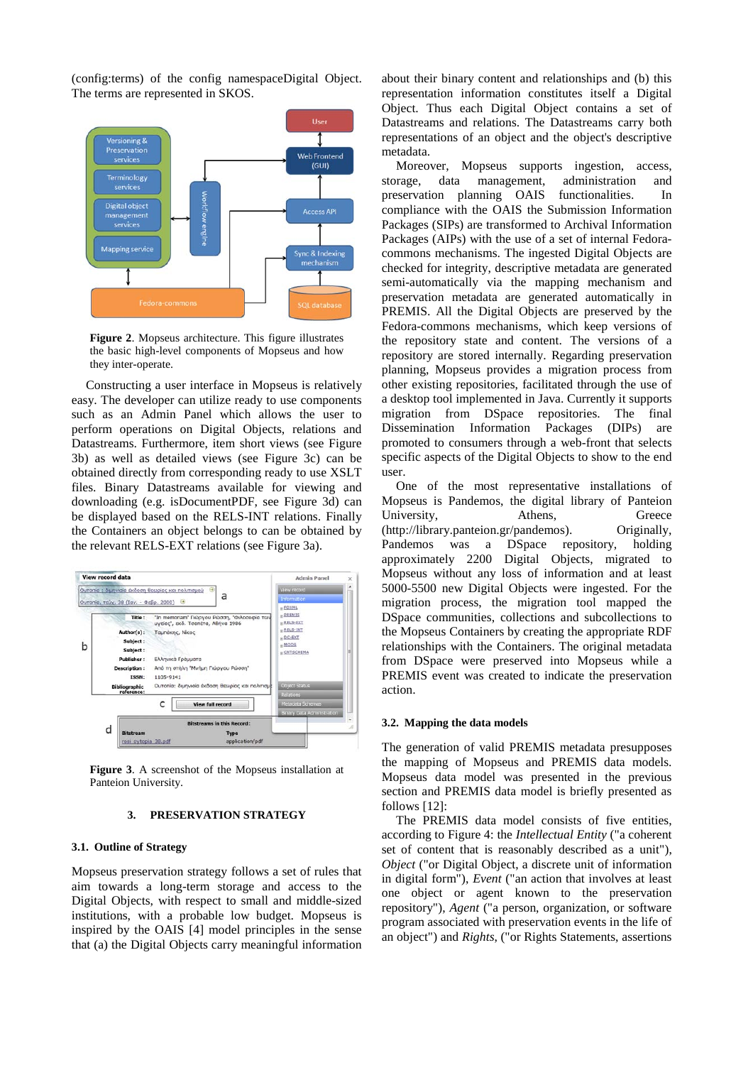(config:terms) of the config namespaceDigital Object. The terms are represented in SKOS.



**Figure 2**. Mopseus architecture. This figure illustrates the basic high-level components of Mopseus and how they inter-operate.

Constructing a user interface in Mopseus is relatively easy. The developer can utilize ready to use components such as an Admin Panel which allows the user to perform operations on Digital Objects, relations and Datastreams. Furthermore, item short views (see Figure 3b) as well as detailed views (see Figure 3c) can be obtained directly from corresponding ready to use XSLT files. Binary Datastreams available for viewing and downloading (e.g. isDocumentPDF, see Figure 3d) can be displayed based on the RELS-INT relations. Finally the Containers an object belongs to can be obtained by the relevant RELS-EXT relations (see Figure 3a).



**Figure 3**. A screenshot of the Mopseus installation at Panteion University.

#### **3. PRESERVATION STRATEGY**

#### **3.1. Outline of Strategy**

Mopseus preservation strategy follows a set of rules that aim towards a long-term storage and access to the Digital Objects, with respect to small and middle-sized institutions, with a probable low budget. Mopseus is inspired by the OAIS [4] model principles in the sense that (a) the Digital Objects carry meaningful information about their binary content and relationships and (b) this representation information constitutes itself a Digital Object. Thus each Digital Object contains a set of Datastreams and relations. The Datastreams carry both representations of an object and the object's descriptive metadata.

Moreover, Mopseus supports ingestion, access, storage, data management, administration and preservation planning OAIS functionalities. In compliance with the OAIS the Submission Information Packages (SIPs) are transformed to Archival Information Packages (AIPs) with the use of a set of internal Fedoracommons mechanisms. The ingested Digital Objects are checked for integrity, descriptive metadata are generated semi-automatically via the mapping mechanism and preservation metadata are generated automatically in PREMIS. All the Digital Objects are preserved by the Fedora-commons mechanisms, which keep versions of the repository state and content. The versions of a repository are stored internally. Regarding preservation planning, Mopseus provides a migration process from other existing repositories, facilitated through the use of a desktop tool implemented in Java. Currently it supports migration from DSpace repositories. The final Dissemination Information Packages (DIPs) are promoted to consumers through a web-front that selects specific aspects of the Digital Objects to show to the end user.

One of the most representative installations of Mopseus is Pandemos, the digital library of Panteion University, Athens, Greece (http://library.panteion.gr/pandemos). Originally, Pandemos was a DSpace repository, holding approximately 2200 Digital Objects, migrated to Mopseus without any loss of information and at least 5000-5500 new Digital Objects were ingested. For the migration process, the migration tool mapped the DSpace communities, collections and subcollections to the Mopseus Containers by creating the appropriate RDF relationships with the Containers. The original metadata from DSpace were preserved into Mopseus while a PREMIS event was created to indicate the preservation action.

#### **3.2. Mapping the data models**

The generation of valid PREMIS metadata presupposes the mapping of Mopseus and PREMIS data models. Mopseus data model was presented in the previous section and PREMIS data model is briefly presented as follows [12]:

The PREMIS data model consists of five entities, according to Figure 4: the *Intellectual Entity* ("a coherent set of content that is reasonably described as a unit"), *Object* ("or Digital Object, a discrete unit of information in digital form"), *Event* ("an action that involves at least one object or agent known to the preservation repository"), *Agent* ("a person, organization, or software program associated with preservation events in the life of an object") and *Rights*, ("or Rights Statements, assertions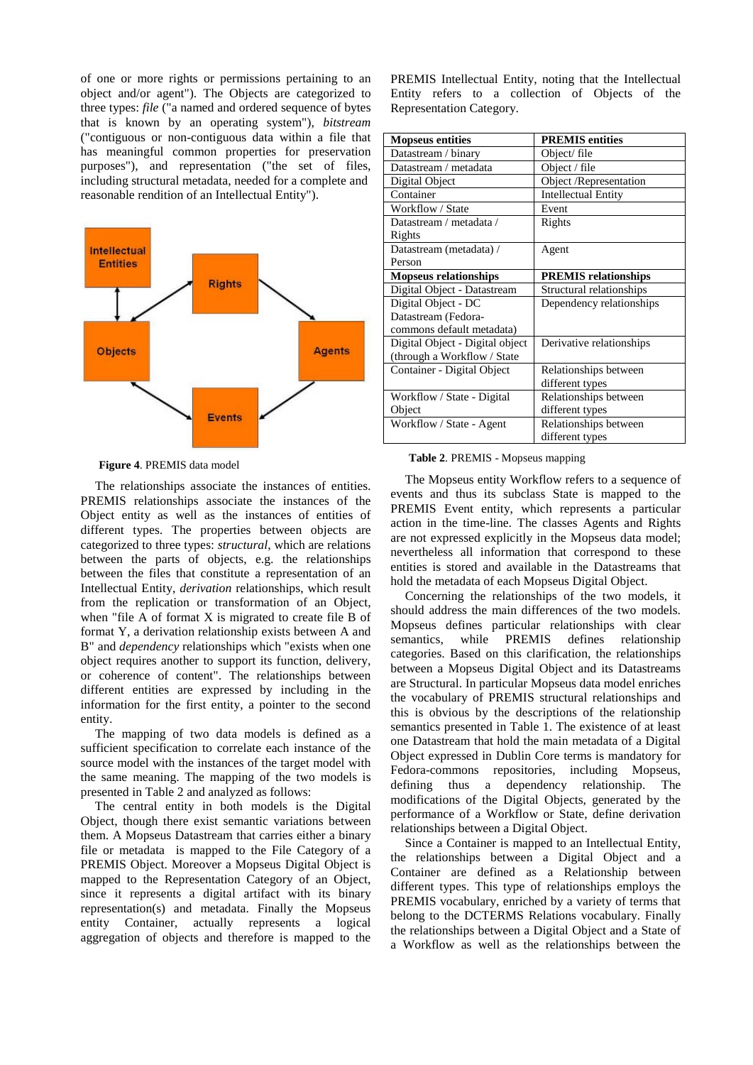of one or more rights or permissions pertaining to an object and/or agent"). The Objects are categorized to three types: *file* ("a named and ordered sequence of bytes that is known by an operating system"), *bitstream* ("contiguous or non-contiguous data within a file that has meaningful common properties for preservation purposes"), and representation ("the set of files, including structural metadata, needed for a complete and reasonable rendition of an Intellectual Entity").



**Figure 4**. PREMIS data model

The relationships associate the instances of entities. PREMIS relationships associate the instances of the Object entity as well as the instances of entities of different types. The properties between objects are categorized to three types: *structural*, which are relations between the parts of objects, e.g. the relationships between the files that constitute a representation of an Intellectual Entity, *derivation* relationships, which result from the replication or transformation of an Object, when "file A of format X is migrated to create file B of format Y, a derivation relationship exists between A and B" and *dependency* relationships which "exists when one object requires another to support its function, delivery, or coherence of content". The relationships between different entities are expressed by including in the information for the first entity, a pointer to the second entity.

The mapping of two data models is defined as a sufficient specification to correlate each instance of the source model with the instances of the target model with the same meaning. The mapping of the two models is presented in Table 2 and analyzed as follows:

The central entity in both models is the Digital Object, though there exist semantic variations between them. A Mopseus Datastream that carries either a binary file or metadata is mapped to the File Category of a PREMIS Object. Moreover a Mopseus Digital Object is mapped to the Representation Category of an Object, since it represents a digital artifact with its binary representation(s) and metadata. Finally the Mopseus entity Container, actually represents a logical aggregation of objects and therefore is mapped to the PREMIS Intellectual Entity, noting that the Intellectual Entity refers to a collection of Objects of the Representation Category.

| <b>Mopseus entities</b>         | <b>PREMIS</b> entities      |  |
|---------------------------------|-----------------------------|--|
| Datastream / binary             | Object/file                 |  |
| Datastream / metadata           | Object / file               |  |
| Digital Object                  | Object /Representation      |  |
| Container                       | <b>Intellectual Entity</b>  |  |
| Workflow / State                | Event                       |  |
| Datastream / metadata /         | Rights                      |  |
| Rights                          |                             |  |
| Datastream (metadata) /         | Agent                       |  |
| Person                          |                             |  |
| <b>Mopseus relationships</b>    | <b>PREMIS</b> relationships |  |
| Digital Object - Datastream     | Structural relationships    |  |
| Digital Object - DC             | Dependency relationships    |  |
| Datastream (Fedora-             |                             |  |
| commons default metadata)       |                             |  |
| Digital Object - Digital object | Derivative relationships    |  |
| (through a Workflow / State     |                             |  |
| Container - Digital Object      | Relationships between       |  |
|                                 | different types             |  |
| Workflow / State - Digital      | Relationships between       |  |
| Object                          | different types             |  |
| Workflow / State - Agent        | Relationships between       |  |
|                                 | different types             |  |

#### **Table 2**. PREMIS - Mopseus mapping

The Mopseus entity Workflow refers to a sequence of events and thus its subclass State is mapped to the PREMIS Event entity, which represents a particular action in the time-line. The classes Agents and Rights are not expressed explicitly in the Mopseus data model; nevertheless all information that correspond to these entities is stored and available in the Datastreams that hold the metadata of each Mopseus Digital Object.

Concerning the relationships of the two models, it should address the main differences of the two models. Mopseus defines particular relationships with clear semantics, while PREMIS defines relationship categories. Based on this clarification, the relationships between a Mopseus Digital Object and its Datastreams are Structural. In particular Mopseus data model enriches the vocabulary of PREMIS structural relationships and this is obvious by the descriptions of the relationship semantics presented in Table 1. The existence of at least one Datastream that hold the main metadata of a Digital Object expressed in Dublin Core terms is mandatory for Fedora-commons repositories, including Mopseus, defining thus a dependency relationship. The modifications of the Digital Objects, generated by the performance of a Workflow or State, define derivation relationships between a Digital Object.

Since a Container is mapped to an Intellectual Entity, the relationships between a Digital Object and a Container are defined as a Relationship between different types. This type of relationships employs the PREMIS vocabulary, enriched by a variety of terms that belong to the DCTERMS Relations vocabulary. Finally the relationships between a Digital Object and a State of a Workflow as well as the relationships between the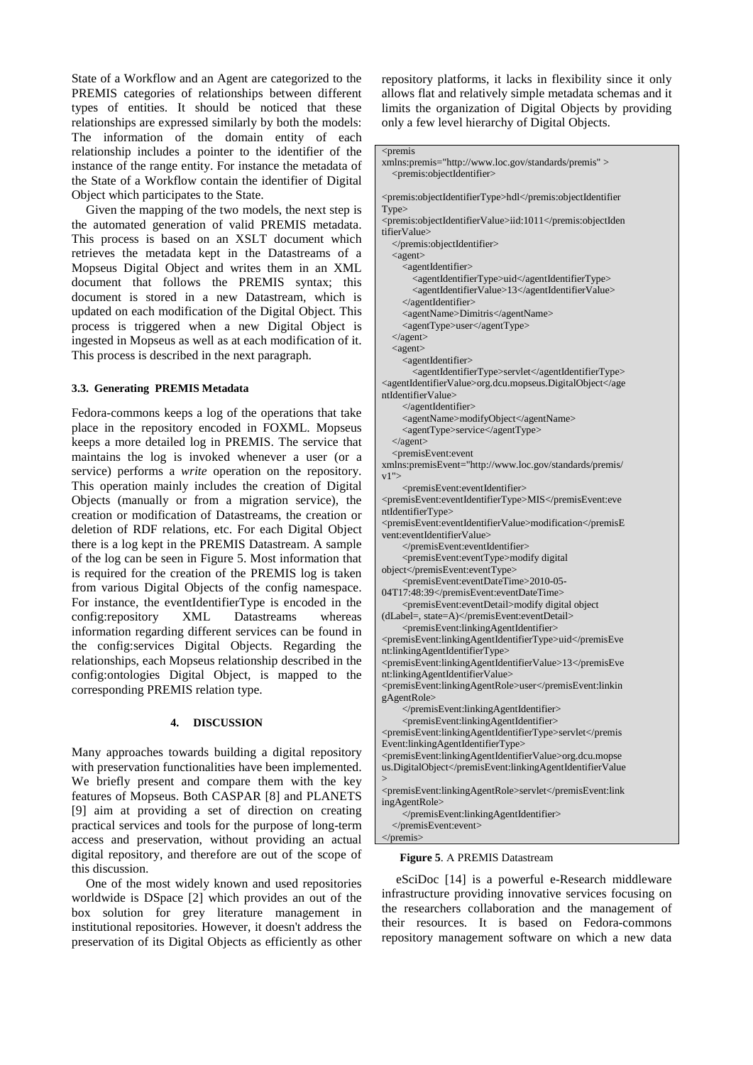State of a Workflow and an Agent are categorized to the PREMIS categories of relationships between different types of entities. It should be noticed that these relationships are expressed similarly by both the models: The information of the domain entity of each relationship includes a pointer to the identifier of the instance of the range entity. For instance the metadata of the State of a Workflow contain the identifier of Digital Object which participates to the State.

Given the mapping of the two models, the next step is the automated generation of valid PREMIS metadata. This process is based on an XSLT document which retrieves the metadata kept in the Datastreams of a Mopseus Digital Object and writes them in an XML document that follows the PREMIS syntax; this document is stored in a new Datastream, which is updated on each modification of the Digital Object. This process is triggered when a new Digital Object is ingested in Mopseus as well as at each modification of it. This process is described in the next paragraph.

#### **3.3. Generating PREMIS Metadata**

Fedora-commons keeps a log of the operations that take place in the repository encoded in FOXML. Mopseus keeps a more detailed log in PREMIS. The service that maintains the log is invoked whenever a user (or a service) performs a *write* operation on the repository. This operation mainly includes the creation of Digital Objects (manually or from a migration service), the creation or modification of Datastreams, the creation or deletion of RDF relations, etc. For each Digital Object there is a log kept in the PREMIS Datastream. A sample of the log can be seen in Figure 5. Most information that is required for the creation of the PREMIS log is taken from various Digital Objects of the config namespace. For instance, the eventIdentifierType is encoded in the config:repository XML Datastreams whereas information regarding different services can be found in the config:services Digital Objects. Regarding the relationships, each Mopseus relationship described in the config:ontologies Digital Object, is mapped to the corresponding PREMIS relation type.

#### **4. DISCUSSION**

Many approaches towards building a digital repository with preservation functionalities have been implemented. We briefly present and compare them with the key features of Mopseus. Both CASPAR [8] and PLANETS [9] aim at providing a set of direction on creating practical services and tools for the purpose of long-term access and preservation, without providing an actual digital repository, and therefore are out of the scope of this discussion.

One of the most widely known and used repositories worldwide is DSpace [2] which provides an out of the box solution for grey literature management in institutional repositories. However, it doesn't address the preservation of its Digital Objects as efficiently as other repository platforms, it lacks in flexibility since it only allows flat and relatively simple metadata schemas and it limits the organization of Digital Objects by providing only a few level hierarchy of Digital Objects.

## <premis

xmlns:premis="http://www.loc.gov/standards/premis" > <premis:objectIdentifier>

<premis:objectIdentifierType>hdl</premis:objectIdentifier Type> <premis:objectIdentifierValue>iid:1011</premis:objectIden tifierValue> </premis:objectIdentifier> <agent> <agentIdentifier> <agentIdentifierType>uid</agentIdentifierType> <agentIdentifierValue>13</agentIdentifierValue> </agentIdentifier> <agentName>Dimitris</agentName> <agentType>user</agentType> </agent>  $\langle$ agent $\rangle$ <agentIdentifier> <agentIdentifierType>servlet</agentIdentifierType> <agentIdentifierValue>org.dcu.mopseus.DigitalObject</age ntIdentifierValue> </agentIdentifier> <agentName>modifyObject</agentName> <agentType>service</agentType> </agent> <premisEvent:event xmlns:premisEvent="http://www.loc.gov/standards/premis/  $v1$ "> <premisEvent:eventIdentifier> <premisEvent:eventIdentifierType>MIS</premisEvent:eve ntIdentifierType> <premisEvent:eventIdentifierValue>modification</premisE vent:eventIdentifierValue> </premisEvent:eventIdentifier> <premisEvent:eventType>modify digital object</premisEvent:eventType> <premisEvent:eventDateTime>2010-05- 04T17:48:39</premisEvent:eventDateTime> <premisEvent:eventDetail>modify digital object (dLabel=, state=A)</premisEvent:eventDetail> <premisEvent:linkingAgentIdentifier> <premisEvent:linkingAgentIdentifierType>uid</premisEve nt:linkingAgentIdentifierType> <premisEvent:linkingAgentIdentifierValue>13</premisEve nt:linkingAgentIdentifierValue> <premisEvent:linkingAgentRole>user</premisEvent:linkin gAgentRole> </premisEvent:linkingAgentIdentifier> <premisEvent:linkingAgentIdentifier> <premisEvent:linkingAgentIdentifierType>servlet</premis Event:linkingAgentIdentifierType> <premisEvent:linkingAgentIdentifierValue>org.dcu.mopse us.DigitalObject</premisEvent:linkingAgentIdentifierValue > <premisEvent:linkingAgentRole>servlet</premisEvent:link ingAgentRole> </premisEvent:linkingAgentIdentifier> </premisEvent:event> </premis>

#### **Figure 5**. Α PREMIS Datastream

eSciDoc [14] is a powerful e-Research middleware infrastructure providing innovative services focusing on the researchers collaboration and the management of their resources. It is based on Fedora-commons repository management software on which a new data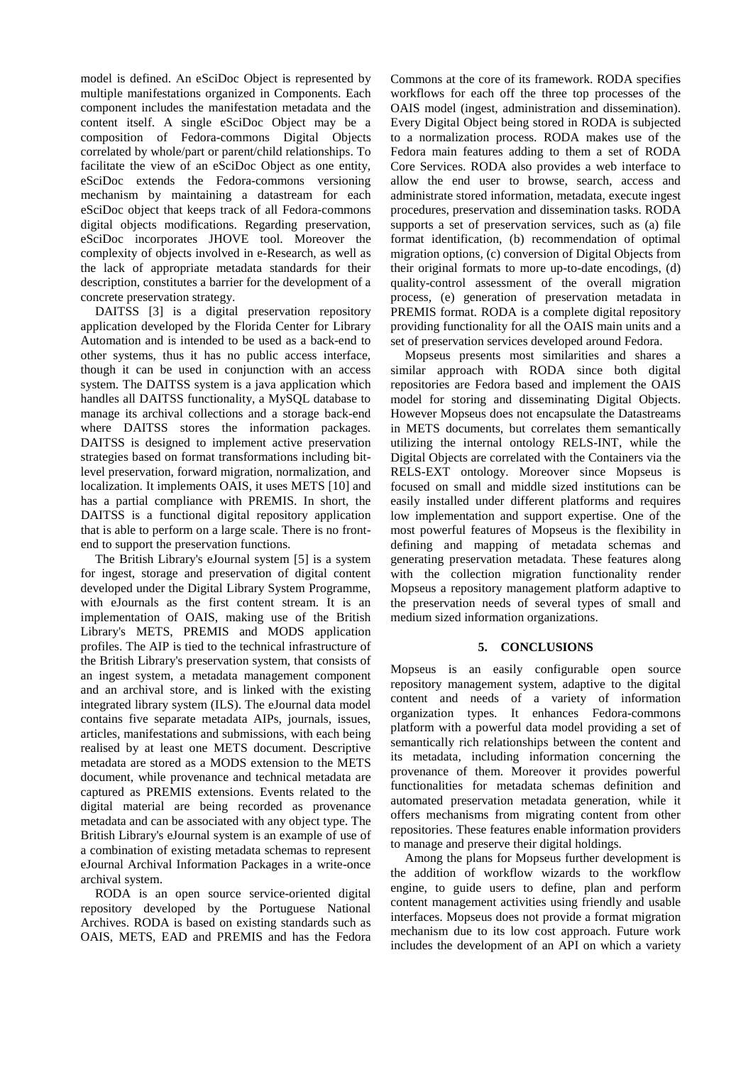model is defined. Αn eSciDoc Object is represented by multiple manifestations organized in Components. Each component includes the manifestation metadata and the content itself. A single eSciDoc Object may be a composition of Fedora-commons Digital Objects correlated by whole/part or parent/child relationships. To facilitate the view of an eSciDoc Object as one entity, eSciDoc extends the Fedora-commons versioning mechanism by maintaining a datastream for each eSciDoc object that keeps track of all Fedora-commons digital objects modifications. Regarding preservation, eSciDoc incorporates JHOVE tool. Moreover the complexity of objects involved in e-Research, as well as the lack of appropriate metadata standards for their description, constitutes a barrier for the development of a concrete preservation strategy.

DAITSS [3] is a digital preservation repository application developed by the Florida Center for Library Automation and is intended to be used as a back-end to other systems, thus it has no public access interface, though it can be used in conjunction with an access system. The DAITSS system is a java application which handles all DAITSS functionality, a MySQL database to manage its archival collections and a storage back-end where DAITSS stores the information packages. DAITSS is designed to implement active preservation strategies based on format transformations including bitlevel preservation, forward migration, normalization, and localization. It implements OAIS, it uses METS [10] and has a partial compliance with PREMIS. In short, the DAITSS is a functional digital repository application that is able to perform on a large scale. There is no frontend to support the preservation functions.

The British Library's eJournal system [5] is a system for ingest, storage and preservation of digital content developed under the Digital Library System Programme, with eJournals as the first content stream. It is an implementation of OAIS, making use of the British Library's METS, PREMIS and MODS application profiles. The AIP is tied to the technical infrastructure of the British Library's preservation system, that consists of an ingest system, a metadata management component and an archival store, and is linked with the existing integrated library system (ILS). The eJournal data model contains five separate metadata AIPs, journals, issues, articles, manifestations and submissions, with each being realised by at least one METS document. Descriptive metadata are stored as a MODS extension to the METS document, while provenance and technical metadata are captured as PREMIS extensions. Events related to the digital material are being recorded as provenance metadata and can be associated with any object type. The British Library's eJournal system is an example of use of a combination of existing metadata schemas to represent eJournal Archival Information Packages in a write-once archival system.

RODA is an open source service-oriented digital repository developed by the Portuguese National Archives. RODA is based on existing standards such as OAIS, METS, EAD and PREMIS and has the Fedora Commons at the core of its framework. RODA specifies workflows for each off the three top processes of the OAIS model (ingest, administration and dissemination). Every Digital Object being stored in RODA is subjected to a normalization process. RODA makes use of the Fedora main features adding to them a set of RODA Core Services. RODA also provides a web interface to allow the end user to browse, search, access and administrate stored information, metadata, execute ingest procedures, preservation and dissemination tasks. RODA supports a set of preservation services, such as (a) file format identification, (b) recommendation of optimal migration options, (c) conversion of Digital Objects from their original formats to more up-to-date encodings, (d) quality-control assessment of the overall migration process, (e) generation of preservation metadata in PREMIS format. RODA is a complete digital repository providing functionality for all the OAIS main units and a set of preservation services developed around Fedora.

Mopseus presents most similarities and shares a similar approach with RODA since both digital repositories are Fedora based and implement the OAIS model for storing and disseminating Digital Objects. However Mopseus does not encapsulate the Datastreams in METS documents, but correlates them semantically utilizing the internal ontology RELS-INT, while the Digital Objects are correlated with the Containers via the RELS-EXT ontology. Moreover since Mopseus is focused on small and middle sized institutions can be easily installed under different platforms and requires low implementation and support expertise. One of the most powerful features of Mopseus is the flexibility in defining and mapping of metadata schemas and generating preservation metadata. These features along with the collection migration functionality render Mopseus a repository management platform adaptive to the preservation needs of several types of small and medium sized information organizations.

## **5. CONCLUSIONS**

Mopseus is an easily configurable open source repository management system, adaptive to the digital content and needs of a variety of information organization types. It enhances Fedora-commons platform with a powerful data model providing a set of semantically rich relationships between the content and its metadata, including information concerning the provenance of them. Moreover it provides powerful functionalities for metadata schemas definition and automated preservation metadata generation, while it offers mechanisms from migrating content from other repositories. These features enable information providers to manage and preserve their digital holdings.

Among the plans for Mopseus further development is the addition of workflow wizards to the workflow engine, to guide users to define, plan and perform content management activities using friendly and usable interfaces. Mopseus does not provide a format migration mechanism due to its low cost approach. Future work includes the development of an API on which a variety